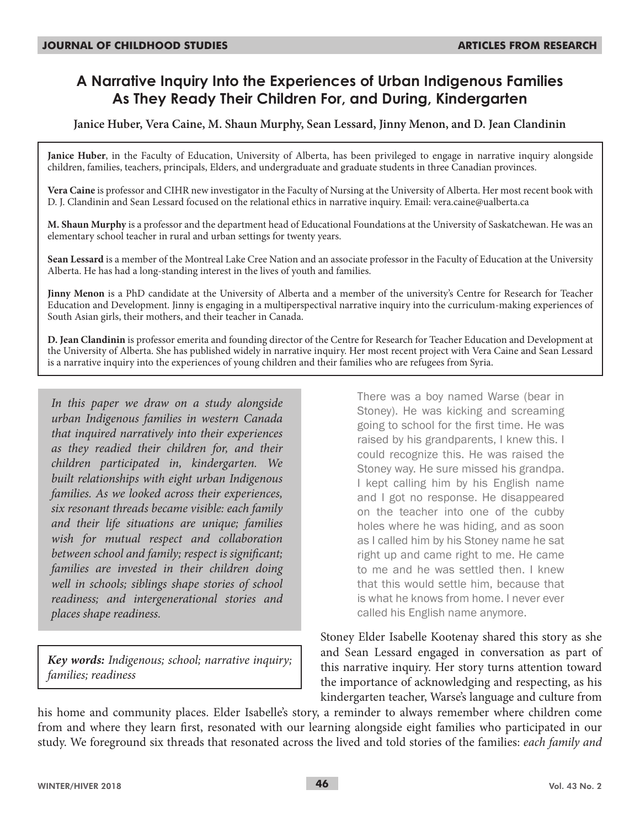# **A Narrative Inquiry Into the Experiences of Urban Indigenous Families As They Ready Their Children For, and During, Kindergarten**

**Janice Huber, Vera Caine, M. Shaun Murphy, Sean Lessard, Jinny Menon, and D. Jean Clandinin**

**Janice Huber**, in the Faculty of Education, University of Alberta, has been privileged to engage in narrative inquiry alongside children, families, teachers, principals, Elders, and undergraduate and graduate students in three Canadian provinces.

**Vera Caine** is professor and CIHR new investigator in the Faculty of Nursing at the University of Alberta. Her most recent book with D. J. Clandinin and Sean Lessard focused on the relational ethics in narrative inquiry. Email: vera.caine@ualberta.ca

**M. Shaun Murphy** is a professor and the department head of Educational Foundations at the University of Saskatchewan. He was an elementary school teacher in rural and urban settings for twenty years.

**Sean Lessard** is a member of the Montreal Lake Cree Nation and an associate professor in the Faculty of Education at the University Alberta. He has had a long-standing interest in the lives of youth and families.

**Jinny Menon** is a PhD candidate at the University of Alberta and a member of the university's Centre for Research for Teacher Education and Development. Jinny is engaging in a multiperspectival narrative inquiry into the curriculum-making experiences of South Asian girls, their mothers, and their teacher in Canada.

**D. Jean Clandinin** is professor emerita and founding director of the Centre for Research for Teacher Education and Development at the University of Alberta. She has published widely in narrative inquiry. Her most recent project with Vera Caine and Sean Lessard is a narrative inquiry into the experiences of young children and their families who are refugees from Syria.

*In this paper we draw on a study alongside urban Indigenous families in western Canada that inquired narratively into their experiences as they readied their children for, and their children participated in, kindergarten. We built relationships with eight urban Indigenous families. As we looked across their experiences, six resonant threads became visible: each family and their life situations are unique; families wish for mutual respect and collaboration between school and family; respect is significant; families are invested in their children doing well in schools; siblings shape stories of school readiness; and intergenerational stories and places shape readiness.*

*Key words: Indigenous; school; narrative inquiry; families; readiness*

There was a boy named Warse (bear in Stoney). He was kicking and screaming going to school for the first time. He was raised by his grandparents, I knew this. I could recognize this. He was raised the Stoney way. He sure missed his grandpa. I kept calling him by his English name and I got no response. He disappeared on the teacher into one of the cubby holes where he was hiding, and as soon as I called him by his Stoney name he sat right up and came right to me. He came to me and he was settled then. I knew that this would settle him, because that is what he knows from home. I never ever called his English name anymore.

Stoney Elder Isabelle Kootenay shared this story as she and Sean Lessard engaged in conversation as part of this narrative inquiry. Her story turns attention toward the importance of acknowledging and respecting, as his kindergarten teacher, Warse's language and culture from

his home and community places. Elder Isabelle's story, a reminder to always remember where children come from and where they learn first, resonated with our learning alongside eight families who participated in our study. We foreground six threads that resonated across the lived and told stories of the families: *each family and*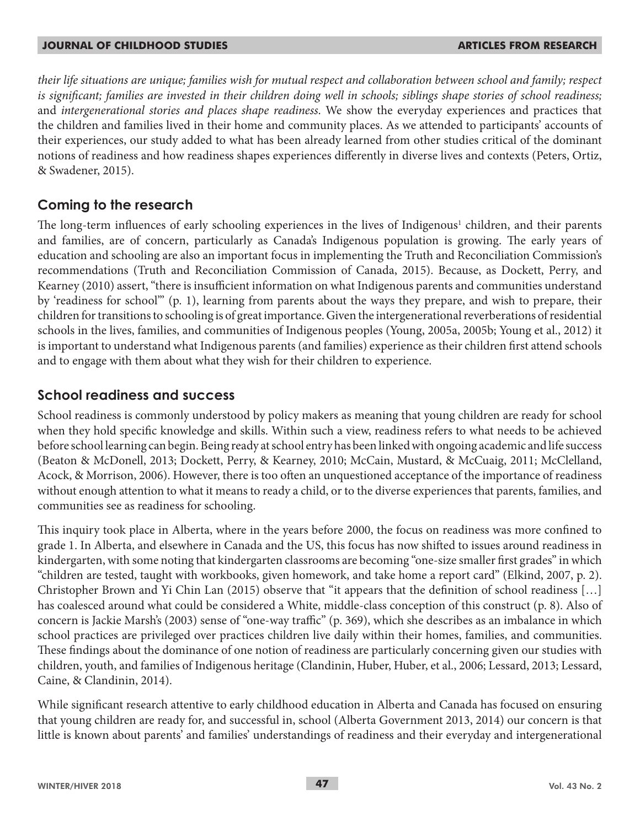*their life situations are unique; families wish for mutual respect and collaboration between school and family; respect is significant; families are invested in their children doing well in schools; siblings shape stories of school readiness;*  and *intergenerational stories and places shape readiness*. We show the everyday experiences and practices that the children and families lived in their home and community places. As we attended to participants' accounts of their experiences, our study added to what has been already learned from other studies critical of the dominant notions of readiness and how readiness shapes experiences differently in diverse lives and contexts (Peters, Ortiz, & Swadener, 2015).

### **Coming to the research**

The long-term influences of early schooling experiences in the lives of Indigenous<sup>1</sup> children, and their parents and families, are of concern, particularly as Canada's Indigenous population is growing. The early years of education and schooling are also an important focus in implementing the Truth and Reconciliation Commission's recommendations (Truth and Reconciliation Commission of Canada, 2015). Because, as Dockett, Perry, and Kearney (2010) assert, "there is insufficient information on what Indigenous parents and communities understand by 'readiness for school'" (p. 1), learning from parents about the ways they prepare, and wish to prepare, their children for transitions to schooling is of great importance. Given the intergenerational reverberations of residential schools in the lives, families, and communities of Indigenous peoples (Young, 2005a, 2005b; Young et al., 2012) it is important to understand what Indigenous parents (and families) experience as their children first attend schools and to engage with them about what they wish for their children to experience.

### **School readiness and success**

School readiness is commonly understood by policy makers as meaning that young children are ready for school when they hold specific knowledge and skills. Within such a view, readiness refers to what needs to be achieved before school learning can begin. Being ready at school entry has been linked with ongoing academic and life success (Beaton & McDonell, 2013; Dockett, Perry, & Kearney, 2010; McCain, Mustard, & McCuaig, 2011; McClelland, Acock, & Morrison, 2006). However, there is too often an unquestioned acceptance of the importance of readiness without enough attention to what it means to ready a child, or to the diverse experiences that parents, families, and communities see as readiness for schooling.

This inquiry took place in Alberta, where in the years before 2000, the focus on readiness was more confined to grade 1. In Alberta, and elsewhere in Canada and the US, this focus has now shifted to issues around readiness in kindergarten, with some noting that kindergarten classrooms are becoming "one-size smaller first grades" in which "children are tested, taught with workbooks, given homework, and take home a report card" (Elkind, 2007, p. 2). Christopher Brown and Yi Chin Lan (2015) observe that "it appears that the definition of school readiness […] has coalesced around what could be considered a White, middle-class conception of this construct (p. 8). Also of concern is Jackie Marsh's (2003) sense of "one-way traffic" (p. 369), which she describes as an imbalance in which school practices are privileged over practices children live daily within their homes, families, and communities. These findings about the dominance of one notion of readiness are particularly concerning given our studies with children, youth, and families of Indigenous heritage (Clandinin, Huber, Huber, et al., 2006; Lessard, 2013; Lessard, Caine, & Clandinin, 2014).

While significant research attentive to early childhood education in Alberta and Canada has focused on ensuring that young children are ready for, and successful in, school (Alberta Government 2013, 2014) our concern is that little is known about parents' and families' understandings of readiness and their everyday and intergenerational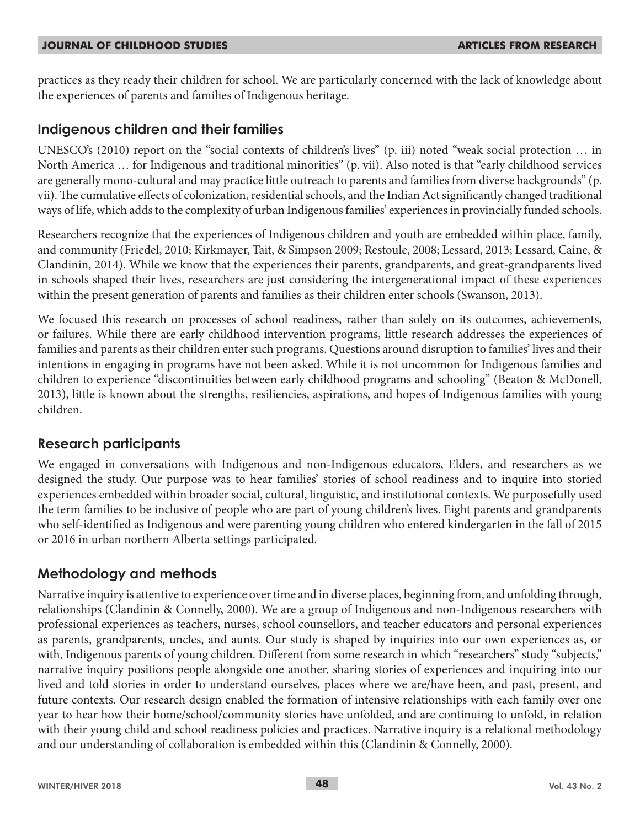practices as they ready their children for school. We are particularly concerned with the lack of knowledge about the experiences of parents and families of Indigenous heritage.

### **Indigenous children and their families**

UNESCO's (2010) report on the "social contexts of children's lives" (p. iii) noted "weak social protection … in North America … for Indigenous and traditional minorities" (p. vii). Also noted is that "early childhood services are generally mono-cultural and may practice little outreach to parents and families from diverse backgrounds" (p. vii). The cumulative effects of colonization, residential schools, and the Indian Act significantly changed traditional ways of life, which adds to the complexity of urban Indigenous families' experiences in provincially funded schools.

Researchers recognize that the experiences of Indigenous children and youth are embedded within place, family, and community (Friedel, 2010; Kirkmayer, Tait, & Simpson 2009; Restoule, 2008; Lessard, 2013; Lessard, Caine, & Clandinin, 2014). While we know that the experiences their parents, grandparents, and great-grandparents lived in schools shaped their lives, researchers are just considering the intergenerational impact of these experiences within the present generation of parents and families as their children enter schools (Swanson, 2013).

We focused this research on processes of school readiness, rather than solely on its outcomes, achievements, or failures. While there are early childhood intervention programs, little research addresses the experiences of families and parents as their children enter such programs. Questions around disruption to families' lives and their intentions in engaging in programs have not been asked. While it is not uncommon for Indigenous families and children to experience "discontinuities between early childhood programs and schooling" (Beaton & McDonell, 2013), little is known about the strengths, resiliencies, aspirations, and hopes of Indigenous families with young children.

## **Research participants**

We engaged in conversations with Indigenous and non-Indigenous educators, Elders, and researchers as we designed the study. Our purpose was to hear families' stories of school readiness and to inquire into storied experiences embedded within broader social, cultural, linguistic, and institutional contexts. We purposefully used the term families to be inclusive of people who are part of young children's lives. Eight parents and grandparents who self-identified as Indigenous and were parenting young children who entered kindergarten in the fall of 2015 or 2016 in urban northern Alberta settings participated.

## **Methodology and methods**

Narrative inquiry is attentive to experience over time and in diverse places, beginning from, and unfolding through, relationships (Clandinin & Connelly, 2000). We are a group of Indigenous and non-Indigenous researchers with professional experiences as teachers, nurses, school counsellors, and teacher educators and personal experiences as parents, grandparents, uncles, and aunts. Our study is shaped by inquiries into our own experiences as, or with, Indigenous parents of young children. Different from some research in which "researchers" study "subjects," narrative inquiry positions people alongside one another, sharing stories of experiences and inquiring into our lived and told stories in order to understand ourselves, places where we are/have been, and past, present, and future contexts. Our research design enabled the formation of intensive relationships with each family over one year to hear how their home/school/community stories have unfolded, and are continuing to unfold, in relation with their young child and school readiness policies and practices. Narrative inquiry is a relational methodology and our understanding of collaboration is embedded within this (Clandinin & Connelly, 2000).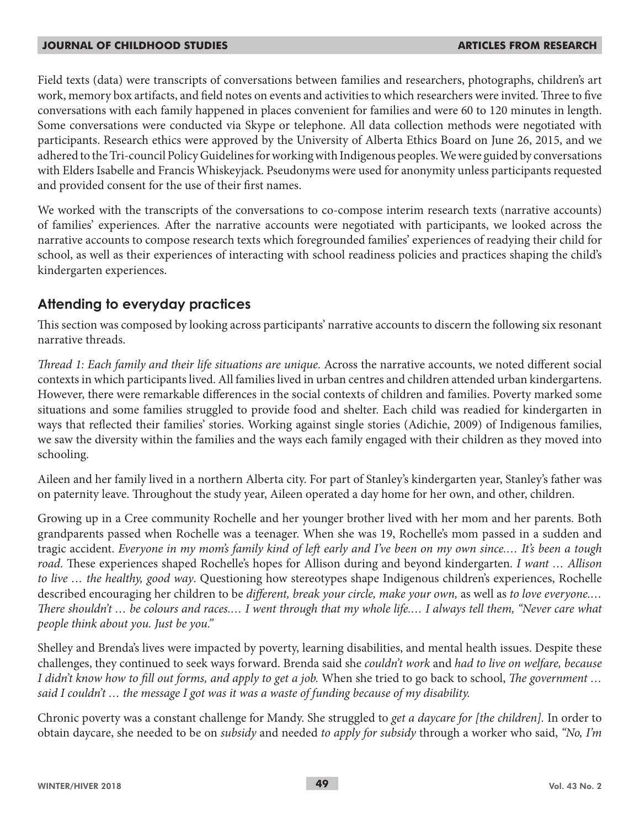Field texts (data) were transcripts of conversations between families and researchers, photographs, children's art work, memory box artifacts, and field notes on events and activities to which researchers were invited. Three to five conversations with each family happened in places convenient for families and were 60 to 120 minutes in length. Some conversations were conducted via Skype or telephone. All data collection methods were negotiated with participants. Research ethics were approved by the University of Alberta Ethics Board on June 26, 2015, and we adhered to the Tri-council Policy Guidelines for working with Indigenous peoples. We were guided by conversations with Elders Isabelle and Francis Whiskeyjack. Pseudonyms were used for anonymity unless participants requested and provided consent for the use of their first names.

We worked with the transcripts of the conversations to co-compose interim research texts (narrative accounts) of families' experiences. After the narrative accounts were negotiated with participants, we looked across the narrative accounts to compose research texts which foregrounded families' experiences of readying their child for school, as well as their experiences of interacting with school readiness policies and practices shaping the child's kindergarten experiences.

### **Attending to everyday practices**

This section was composed by looking across participants' narrative accounts to discern the following six resonant narrative threads.

*Thread 1: Each family and their life situations are unique.* Across the narrative accounts, we noted different social contexts in which participants lived. All families lived in urban centres and children attended urban kindergartens. However, there were remarkable differences in the social contexts of children and families. Poverty marked some situations and some families struggled to provide food and shelter. Each child was readied for kindergarten in ways that reflected their families' stories. Working against single stories (Adichie, 2009) of Indigenous families, we saw the diversity within the families and the ways each family engaged with their children as they moved into schooling.

Aileen and her family lived in a northern Alberta city. For part of Stanley's kindergarten year, Stanley's father was on paternity leave. Throughout the study year, Aileen operated a day home for her own, and other, children.

Growing up in a Cree community Rochelle and her younger brother lived with her mom and her parents. Both grandparents passed when Rochelle was a teenager. When she was 19, Rochelle's mom passed in a sudden and tragic accident. *Everyone in my mom's family kind of left early and I've been on my own since.… It's been a tough road*. These experiences shaped Rochelle's hopes for Allison during and beyond kindergarten. *I want … Allison to live … the healthy, good way*. Questioning how stereotypes shape Indigenous children's experiences, Rochelle described encouraging her children to be *different, break your circle, make your own,* as well as *to love everyone.… There shouldn't … be colours and races.… I went through that my whole life.… I always tell them, "Never care what people think about you. Just be you."*

Shelley and Brenda's lives were impacted by poverty, learning disabilities, and mental health issues. Despite these challenges, they continued to seek ways forward. Brenda said she *couldn't work* and *had to live on welfare, because I didn't know how to fill out forms, and apply to get a job.* When she tried to go back to school, *The government … said I couldn't … the message I got was it was a waste of funding because of my disability.* 

Chronic poverty was a constant challenge for Mandy. She struggled to *get a daycare for [the children].* In order to obtain daycare, she needed to be on *subsidy* and needed *to apply for subsidy* through a worker who said, *"No, I'm*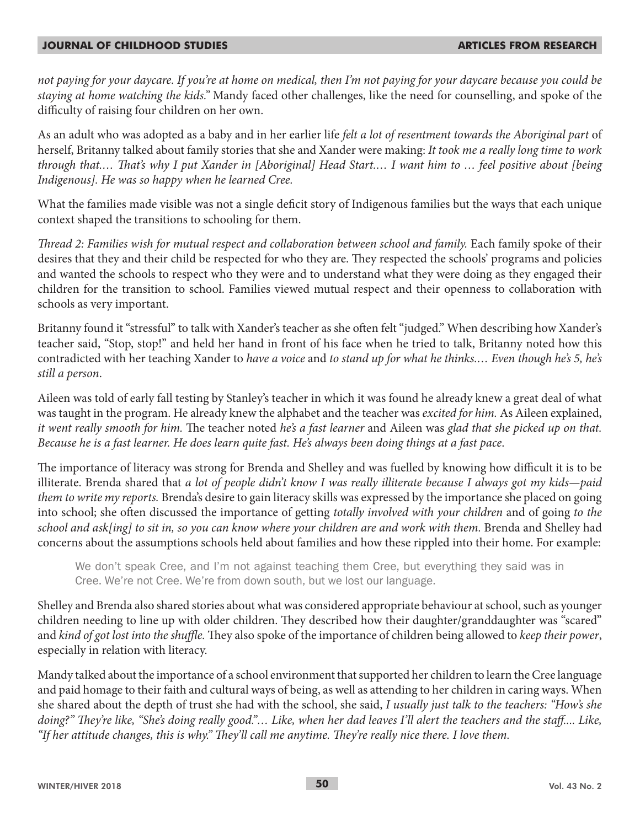*not paying for your daycare. If you're at home on medical, then I'm not paying for your daycare because you could be staying at home watching the kids."* Mandy faced other challenges, like the need for counselling, and spoke of the difficulty of raising four children on her own.

As an adult who was adopted as a baby and in her earlier life *felt a lot of resentment towards the Aboriginal part* of herself, Britanny talked about family stories that she and Xander were making: *It took me a really long time to work through that.… That's why I put Xander in [Aboriginal] Head Start.… I want him to … feel positive about [being Indigenous]. He was so happy when he learned Cree.*

What the families made visible was not a single deficit story of Indigenous families but the ways that each unique context shaped the transitions to schooling for them.

*Thread 2: Families wish for mutual respect and collaboration between school and family.* Each family spoke of their desires that they and their child be respected for who they are. They respected the schools' programs and policies and wanted the schools to respect who they were and to understand what they were doing as they engaged their children for the transition to school. Families viewed mutual respect and their openness to collaboration with schools as very important.

Britanny found it "stressful" to talk with Xander's teacher as she often felt "judged." When describing how Xander's teacher said, "Stop, stop!" and held her hand in front of his face when he tried to talk, Britanny noted how this contradicted with her teaching Xander to *have a voice* and *to stand up for what he thinks.… Even though he's 5, he's still a person*.

Aileen was told of early fall testing by Stanley's teacher in which it was found he already knew a great deal of what was taught in the program. He already knew the alphabet and the teacher was *excited for him.* As Aileen explained, *it went really smooth for him.* The teacher noted *he's a fast learner* and Aileen was *glad that she picked up on that. Because he is a fast learner. He does learn quite fast. He's always been doing things at a fast pace*.

The importance of literacy was strong for Brenda and Shelley and was fuelled by knowing how difficult it is to be illiterate. Brenda shared that *a lot of people didn't know I was really illiterate because I always got my kids—paid them to write my reports.* Brenda's desire to gain literacy skills was expressed by the importance she placed on going into school; she often discussed the importance of getting *totally involved with your children* and of going *to the school and ask[ing] to sit in, so you can know where your children are and work with them.* Brenda and Shelley had concerns about the assumptions schools held about families and how these rippled into their home. For example:

We don't speak Cree, and I'm not against teaching them Cree, but everything they said was in Cree. We're not Cree. We're from down south, but we lost our language.

Shelley and Brenda also shared stories about what was considered appropriate behaviour at school, such as younger children needing to line up with older children. They described how their daughter/granddaughter was "scared" and *kind of got lost into the shuffle.* They also spoke of the importance of children being allowed to *keep their power*, especially in relation with literacy.

Mandy talked about the importance of a school environment that supported her children to learn the Cree language and paid homage to their faith and cultural ways of being, as well as attending to her children in caring ways. When she shared about the depth of trust she had with the school, she said, *I usually just talk to the teachers: "How's she doing?" They're like, "She's doing really good."… Like, when her dad leaves I'll alert the teachers and the staff.... Like, "If her attitude changes, this is why." They'll call me anytime. They're really nice there. I love them.*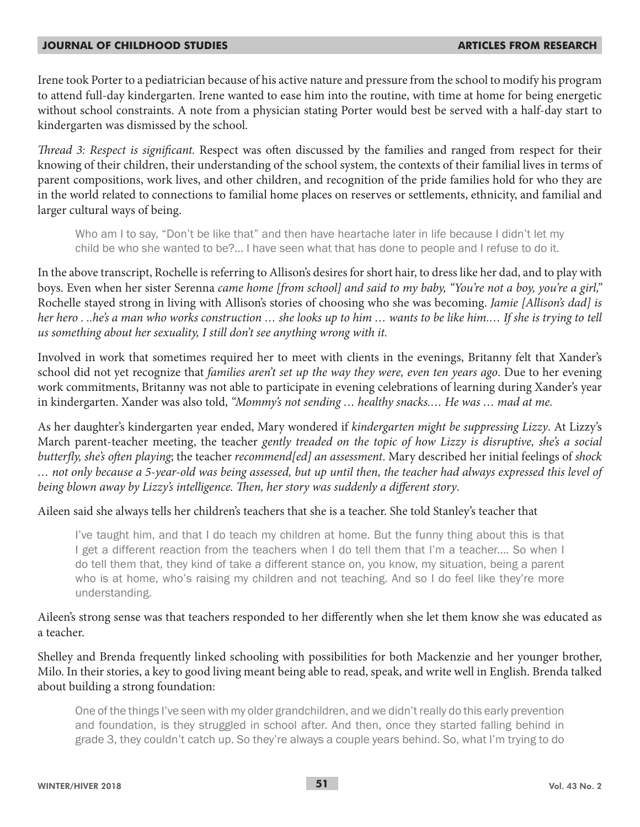Irene took Porter to a pediatrician because of his active nature and pressure from the school to modify his program to attend full-day kindergarten. Irene wanted to ease him into the routine, with time at home for being energetic without school constraints. A note from a physician stating Porter would best be served with a half-day start to kindergarten was dismissed by the school.

*Thread 3: Respect is significant.* Respect was often discussed by the families and ranged from respect for their knowing of their children, their understanding of the school system, the contexts of their familial lives in terms of parent compositions, work lives, and other children, and recognition of the pride families hold for who they are in the world related to connections to familial home places on reserves or settlements, ethnicity, and familial and larger cultural ways of being.

Who am I to say, "Don't be like that" and then have heartache later in life because I didn't let my child be who she wanted to be?… I have seen what that has done to people and I refuse to do it.

In the above transcript, Rochelle is referring to Allison's desires for short hair, to dress like her dad, and to play with boys. Even when her sister Serenna *came home [from school] and said to my baby, "You're not a boy, you're a girl,"* Rochelle stayed strong in living with Allison's stories of choosing who she was becoming. *Jamie [Allison's dad] is her hero . ..he's a man who works construction … she looks up to him … wants to be like him.… If she is trying to tell us something about her sexuality, I still don't see anything wrong with it.*

Involved in work that sometimes required her to meet with clients in the evenings, Britanny felt that Xander's school did not yet recognize that *families aren't set up the way they were, even ten years ago*. Due to her evening work commitments, Britanny was not able to participate in evening celebrations of learning during Xander's year in kindergarten. Xander was also told, *"Mommy's not sending … healthy snacks.… He was … mad at me.*

As her daughter's kindergarten year ended, Mary wondered if *kindergarten might be suppressing Lizzy*. At Lizzy's March parent-teacher meeting, the teacher *gently treaded on the topic of how Lizzy is disruptive, she's a social butterfly, she's often playing*; the teacher *recommend[ed] an assessment*. Mary described her initial feelings of *shock … not only because a 5-year-old was being assessed, but up until then, the teacher had always expressed this level of being blown away by Lizzy's intelligence. Then, her story was suddenly a different story*.

Aileen said she always tells her children's teachers that she is a teacher. She told Stanley's teacher that

I've taught him, and that I do teach my children at home. But the funny thing about this is that I get a different reaction from the teachers when I do tell them that I'm a teacher.... So when I do tell them that, they kind of take a different stance on, you know, my situation, being a parent who is at home, who's raising my children and not teaching. And so I do feel like they're more understanding.

Aileen's strong sense was that teachers responded to her differently when she let them know she was educated as a teacher.

Shelley and Brenda frequently linked schooling with possibilities for both Mackenzie and her younger brother, Milo. In their stories, a key to good living meant being able to read, speak, and write well in English. Brenda talked about building a strong foundation:

One of the things I've seen with my older grandchildren, and we didn't really do this early prevention and foundation, is they struggled in school after. And then, once they started falling behind in grade 3, they couldn't catch up. So they're always a couple years behind. So, what I'm trying to do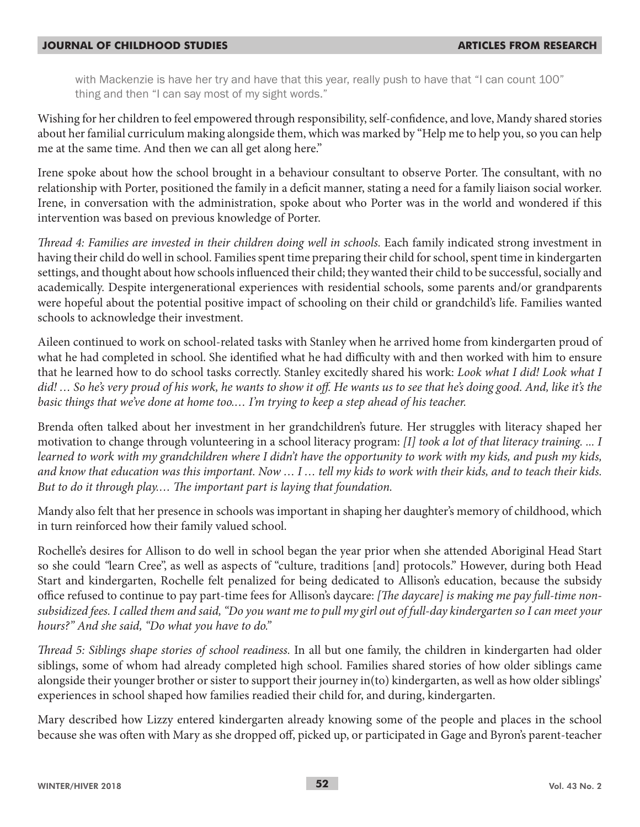with Mackenzie is have her try and have that this year, really push to have that "I can count 100" thing and then "I can say most of my sight words."

Wishing for her children to feel empowered through responsibility, self-confidence, and love, Mandy shared stories about her familial curriculum making alongside them, which was marked by "Help me to help you, so you can help me at the same time. And then we can all get along here."

Irene spoke about how the school brought in a behaviour consultant to observe Porter. The consultant, with no relationship with Porter, positioned the family in a deficit manner, stating a need for a family liaison social worker. Irene, in conversation with the administration, spoke about who Porter was in the world and wondered if this intervention was based on previous knowledge of Porter.

*Thread 4: Families are invested in their children doing well in schools.* Each family indicated strong investment in having their child do well in school. Families spent time preparing their child for school, spent time in kindergarten settings, and thought about how schools influenced their child; they wanted their child to be successful, socially and academically. Despite intergenerational experiences with residential schools, some parents and/or grandparents were hopeful about the potential positive impact of schooling on their child or grandchild's life. Families wanted schools to acknowledge their investment.

Aileen continued to work on school-related tasks with Stanley when he arrived home from kindergarten proud of what he had completed in school. She identified what he had difficulty with and then worked with him to ensure that he learned how to do school tasks correctly. Stanley excitedly shared his work: *Look what I did! Look what I did! … So he's very proud of his work, he wants to show it off. He wants us to see that he's doing good. And, like it's the basic things that we've done at home too.… I'm trying to keep a step ahead of his teacher.*

Brenda often talked about her investment in her grandchildren's future. Her struggles with literacy shaped her motivation to change through volunteering in a school literacy program: *[I] took a lot of that literacy training. ... I learned to work with my grandchildren where I didn't have the opportunity to work with my kids, and push my kids, and know that education was this important. Now … I … tell my kids to work with their kids, and to teach their kids. But to do it through play.… The important part is laying that foundation.* 

Mandy also felt that her presence in schools was important in shaping her daughter's memory of childhood, which in turn reinforced how their family valued school.

Rochelle's desires for Allison to do well in school began the year prior when she attended Aboriginal Head Start so she could *"*learn Cree", as well as aspects of "culture, traditions [and] protocols." However, during both Head Start and kindergarten, Rochelle felt penalized for being dedicated to Allison's education, because the subsidy office refused to continue to pay part-time fees for Allison's daycare: *[The daycare] is making me pay full-time nonsubsidized fees. I called them and said, "Do you want me to pull my girl out of full-day kindergarten so I can meet your hours?" And she said, "Do what you have to do."*

*Thread 5: Siblings shape stories of school readiness.* In all but one family, the children in kindergarten had older siblings, some of whom had already completed high school. Families shared stories of how older siblings came alongside their younger brother or sister to support their journey in(to) kindergarten, as well as how older siblings' experiences in school shaped how families readied their child for, and during, kindergarten.

Mary described how Lizzy entered kindergarten already knowing some of the people and places in the school because she was often with Mary as she dropped off, picked up, or participated in Gage and Byron's parent-teacher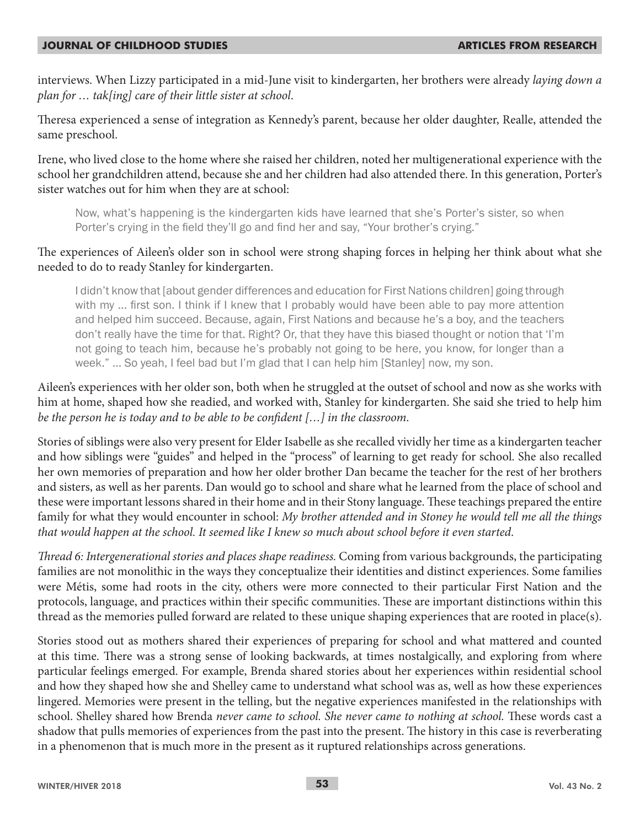interviews. When Lizzy participated in a mid-June visit to kindergarten, her brothers were already *laying down a plan for … tak[ing] care of their little sister at school*.

Theresa experienced a sense of integration as Kennedy's parent, because her older daughter, Realle, attended the same preschool.

Irene, who lived close to the home where she raised her children, noted her multigenerational experience with the school her grandchildren attend, because she and her children had also attended there. In this generation, Porter's sister watches out for him when they are at school:

Now, what's happening is the kindergarten kids have learned that she's Porter's sister, so when Porter's crying in the field they'll go and find her and say, "Your brother's crying."

### The experiences of Aileen's older son in school were strong shaping forces in helping her think about what she needed to do to ready Stanley for kindergarten.

I didn't know that [about gender differences and education for First Nations children] going through with my ... first son. I think if I knew that I probably would have been able to pay more attention and helped him succeed. Because, again, First Nations and because he's a boy, and the teachers don't really have the time for that. Right? Or, that they have this biased thought or notion that 'I'm not going to teach him, because he's probably not going to be here, you know, for longer than a week." ... So yeah, I feel bad but I'm glad that I can help him [Stanley] now, my son.

Aileen's experiences with her older son, both when he struggled at the outset of school and now as she works with him at home, shaped how she readied, and worked with, Stanley for kindergarten. She said she tried to help him *be the person he is today and to be able to be confident […] in the classroom*.

Stories of siblings were also very present for Elder Isabelle as she recalled vividly her time as a kindergarten teacher and how siblings were "guides" and helped in the "process" of learning to get ready for school. She also recalled her own memories of preparation and how her older brother Dan became the teacher for the rest of her brothers and sisters, as well as her parents. Dan would go to school and share what he learned from the place of school and these were important lessons shared in their home and in their Stony language. These teachings prepared the entire family for what they would encounter in school: *My brother attended and in Stoney he would tell me all the things that would happen at the school. It seemed like I knew so much about school before it even started*.

*Thread 6: Intergenerational stories and places shape readiness.* Coming from various backgrounds, the participating families are not monolithic in the ways they conceptualize their identities and distinct experiences. Some families were Métis, some had roots in the city, others were more connected to their particular First Nation and the protocols, language, and practices within their specific communities. These are important distinctions within this thread as the memories pulled forward are related to these unique shaping experiences that are rooted in place(s).

Stories stood out as mothers shared their experiences of preparing for school and what mattered and counted at this time. There was a strong sense of looking backwards, at times nostalgically, and exploring from where particular feelings emerged. For example, Brenda shared stories about her experiences within residential school and how they shaped how she and Shelley came to understand what school was as, well as how these experiences lingered. Memories were present in the telling, but the negative experiences manifested in the relationships with school. Shelley shared how Brenda *never came to school. She never came to nothing at school*. These words cast a shadow that pulls memories of experiences from the past into the present. The history in this case is reverberating in a phenomenon that is much more in the present as it ruptured relationships across generations.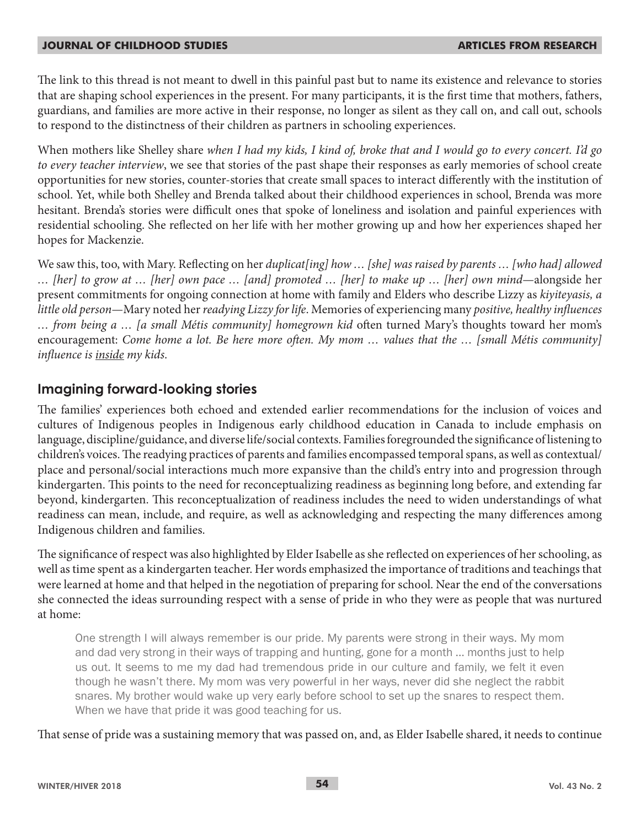The link to this thread is not meant to dwell in this painful past but to name its existence and relevance to stories that are shaping school experiences in the present. For many participants, it is the first time that mothers, fathers, guardians, and families are more active in their response, no longer as silent as they call on, and call out, schools to respond to the distinctness of their children as partners in schooling experiences.

When mothers like Shelley share *when I had my kids, I kind of, broke that and I would go to every concert. I'd go to every teacher interview*, we see that stories of the past shape their responses as early memories of school create opportunities for new stories, counter-stories that create small spaces to interact differently with the institution of school. Yet, while both Shelley and Brenda talked about their childhood experiences in school, Brenda was more hesitant. Brenda's stories were difficult ones that spoke of loneliness and isolation and painful experiences with residential schooling. She reflected on her life with her mother growing up and how her experiences shaped her hopes for Mackenzie.

We saw this, too, with Mary. Reflecting on her *duplicat[ing] how … [she] was raised by parents … [who had] allowed … [her] to grow at … [her] own pace … [and] promoted … [her] to make up … [her] own mind*—alongside her present commitments for ongoing connection at home with family and Elders who describe Lizzy as *kiyiteyasis, a little old person*—Mary noted her *readying Lizzy for life*. Memories of experiencing many *positive, healthy influences … from being a … [a small Métis community] homegrown kid* often turned Mary's thoughts toward her mom's encouragement: *Come home a lot. Be here more often. My mom … values that the … [small Métis community] influence is inside my kids*.

### **Imagining forward-looking stories**

The families' experiences both echoed and extended earlier recommendations for the inclusion of voices and cultures of Indigenous peoples in Indigenous early childhood education in Canada to include emphasis on language, discipline/guidance, and diverse life/social contexts. Families foregrounded the significance of listening to children's voices. The readying practices of parents and families encompassed temporal spans, as well as contextual/ place and personal/social interactions much more expansive than the child's entry into and progression through kindergarten. This points to the need for reconceptualizing readiness as beginning long before, and extending far beyond, kindergarten. This reconceptualization of readiness includes the need to widen understandings of what readiness can mean, include, and require, as well as acknowledging and respecting the many differences among Indigenous children and families.

The significance of respect was also highlighted by Elder Isabelle as she reflected on experiences of her schooling, as well as time spent as a kindergarten teacher. Her words emphasized the importance of traditions and teachings that were learned at home and that helped in the negotiation of preparing for school. Near the end of the conversations she connected the ideas surrounding respect with a sense of pride in who they were as people that was nurtured at home:

One strength I will always remember is our pride. My parents were strong in their ways. My mom and dad very strong in their ways of trapping and hunting, gone for a month … months just to help us out. It seems to me my dad had tremendous pride in our culture and family, we felt it even though he wasn't there. My mom was very powerful in her ways, never did she neglect the rabbit snares. My brother would wake up very early before school to set up the snares to respect them. When we have that pride it was good teaching for us.

That sense of pride was a sustaining memory that was passed on, and, as Elder Isabelle shared, it needs to continue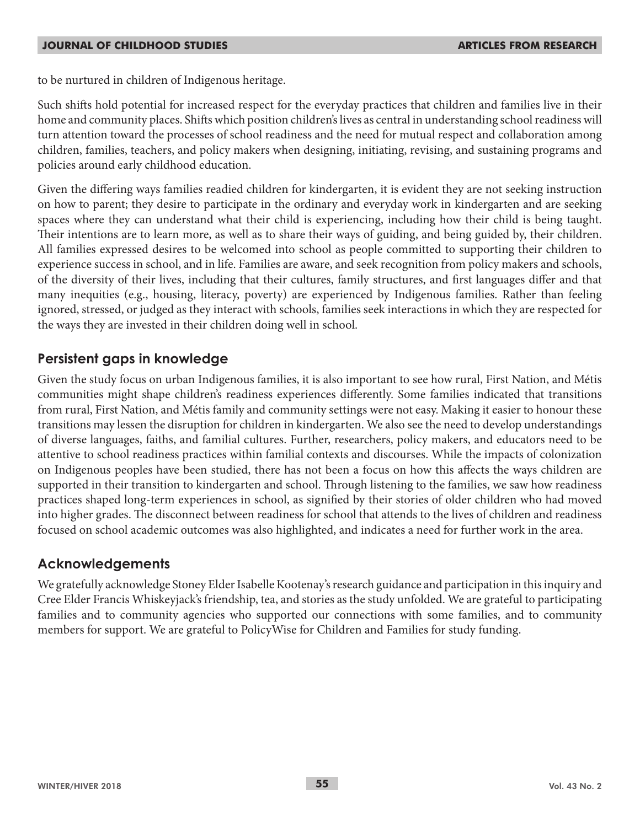to be nurtured in children of Indigenous heritage.

Such shifts hold potential for increased respect for the everyday practices that children and families live in their home and community places. Shifts which position children's lives as central in understanding school readiness will turn attention toward the processes of school readiness and the need for mutual respect and collaboration among children, families, teachers, and policy makers when designing, initiating, revising, and sustaining programs and policies around early childhood education.

Given the differing ways families readied children for kindergarten, it is evident they are not seeking instruction on how to parent; they desire to participate in the ordinary and everyday work in kindergarten and are seeking spaces where they can understand what their child is experiencing, including how their child is being taught. Their intentions are to learn more, as well as to share their ways of guiding, and being guided by, their children. All families expressed desires to be welcomed into school as people committed to supporting their children to experience success in school, and in life. Families are aware, and seek recognition from policy makers and schools, of the diversity of their lives, including that their cultures, family structures, and first languages differ and that many inequities (e.g., housing, literacy, poverty) are experienced by Indigenous families. Rather than feeling ignored, stressed, or judged as they interact with schools, families seek interactions in which they are respected for the ways they are invested in their children doing well in school.

### **Persistent gaps in knowledge**

Given the study focus on urban Indigenous families, it is also important to see how rural, First Nation, and Métis communities might shape children's readiness experiences differently. Some families indicated that transitions from rural, First Nation, and Métis family and community settings were not easy. Making it easier to honour these transitions may lessen the disruption for children in kindergarten. We also see the need to develop understandings of diverse languages, faiths, and familial cultures. Further, researchers, policy makers, and educators need to be attentive to school readiness practices within familial contexts and discourses. While the impacts of colonization on Indigenous peoples have been studied, there has not been a focus on how this affects the ways children are supported in their transition to kindergarten and school. Through listening to the families, we saw how readiness practices shaped long-term experiences in school, as signified by their stories of older children who had moved into higher grades. The disconnect between readiness for school that attends to the lives of children and readiness focused on school academic outcomes was also highlighted, and indicates a need for further work in the area.

## **Acknowledgements**

We gratefully acknowledge Stoney Elder Isabelle Kootenay's research guidance and participation in this inquiry and Cree Elder Francis Whiskeyjack's friendship, tea, and stories as the study unfolded. We are grateful to participating families and to community agencies who supported our connections with some families, and to community members for support. We are grateful to PolicyWise for Children and Families for study funding.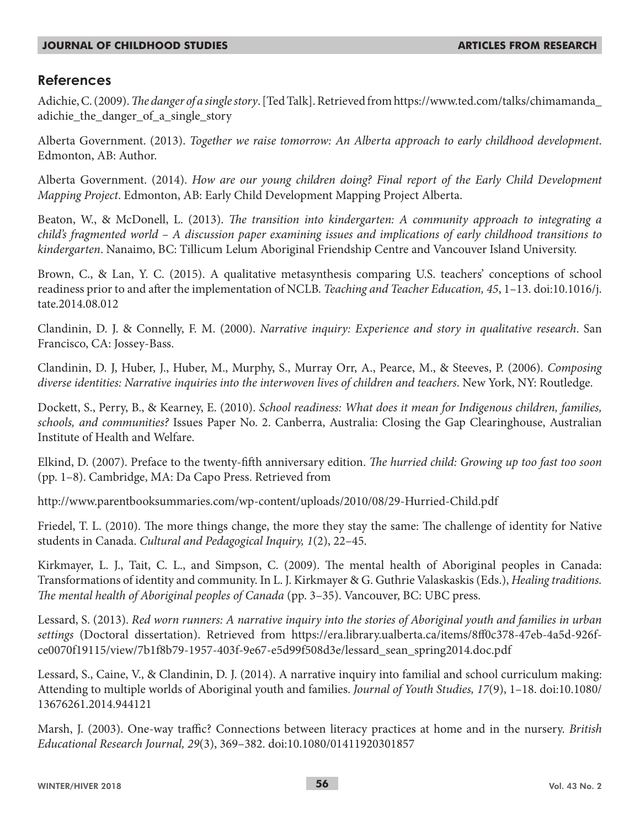### **References**

Adichie, C. (2009). *The danger of a single story*. [Ted Talk]. Retrieved from https://www.ted.com/talks/chimamanda\_ adichie\_the\_danger\_of\_a\_single\_story

Alberta Government. (2013). *Together we raise tomorrow: An Alberta approach to early childhood development*. Edmonton, AB: Author.

Alberta Government. (2014). *How are our young children doing? Final report of the Early Child Development Mapping Project*. Edmonton, AB: Early Child Development Mapping Project Alberta.

Beaton, W., & McDonell, L. (2013). *The transition into kindergarten: A community approach to integrating a child's fragmented world – A discussion paper examining issues and implications of early childhood transitions to kindergarten*. Nanaimo, BC: Tillicum Lelum Aboriginal Friendship Centre and Vancouver Island University.

Brown, C., & Lan, Y. C. (2015). A qualitative metasynthesis comparing U.S. teachers' conceptions of school readiness prior to and after the implementation of NCLB. *Teaching and Teacher Education, 45*, 1–13. doi:10.1016/j. tate.2014.08.012

Clandinin, D. J. & Connelly, F. M. (2000). *Narrative inquiry: Experience and story in qualitative research*. San Francisco, CA: Jossey-Bass.

Clandinin, D. J, Huber, J., Huber, M., Murphy, S., Murray Orr, A., Pearce, M., & Steeves, P. (2006). *Composing diverse identities: Narrative inquiries into the interwoven lives of children and teachers*. New York, NY: Routledge.

Dockett, S., Perry, B., & Kearney, E. (2010). *School readiness: What does it mean for Indigenous children, families, schools, and communities?* Issues Paper No. 2. Canberra, Australia: Closing the Gap Clearinghouse, Australian Institute of Health and Welfare.

Elkind, D. (2007). Preface to the twenty-fifth anniversary edition. *The hurried child: Growing up too fast too soon* (pp. 1–8). Cambridge, MA: Da Capo Press. Retrieved from

http://www.parentbooksummaries.com/wp-content/uploads/2010/08/29-Hurried-Child.pdf

Friedel, T. L. (2010). The more things change, the more they stay the same: The challenge of identity for Native students in Canada. *Cultural and Pedagogical Inquiry, 1*(2), 22–45.

Kirkmayer, L. J., Tait, C. L., and Simpson, C. (2009). The mental health of Aboriginal peoples in Canada: Transformations of identity and community. In L. J. Kirkmayer & G. Guthrie Valaskaskis (Eds.), *Healing traditions. The mental health of Aboriginal peoples of Canada* (pp. 3–35). Vancouver, BC: UBC press.

Lessard, S. (2013). *Red worn runners: A narrative inquiry into the stories of Aboriginal youth and families in urban settings* (Doctoral dissertation). Retrieved from https://era.library.ualberta.ca/items/8ff0c378-47eb-4a5d-926fce0070f19115/view/7b1f8b79-1957-403f-9e67-e5d99f508d3e/lessard\_sean\_spring2014.doc.pdf

Lessard, S., Caine, V., & Clandinin, D. J. (2014). A narrative inquiry into familial and school curriculum making: Attending to multiple worlds of Aboriginal youth and families. *Journal of Youth Studies, 17*(9), 1–18. doi:10.1080/ 13676261.2014.944121

Marsh, J. (2003). One-way traffic? Connections between literacy practices at home and in the nursery. *British Educational Research Journal, 29*(3), 369–382. doi:10.1080/01411920301857